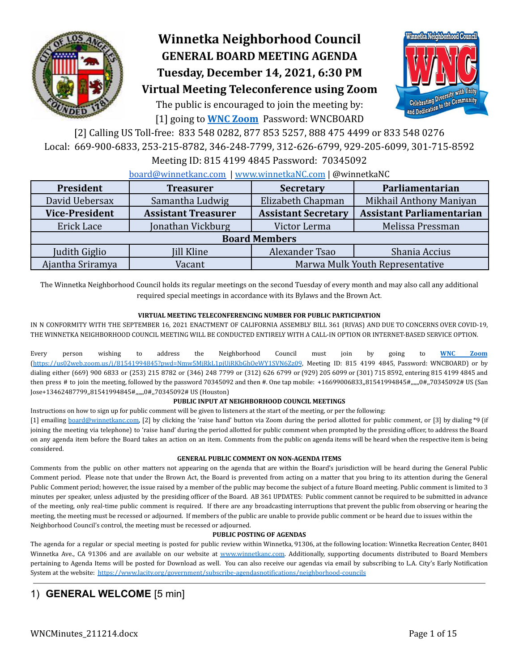

# **Winnetka Neighborhood Council GENERAL BOARD MEETING AGENDA Tuesday, December 14, 2021, 6:30 PM**

Celebrating Diversity with Unity **Celebrating Diversity With only Celebrating Diversity** 

# **Virtual Meeting Teleconference using Zoom**

The public is encouraged to join the meeting by: [1] going to **[WNC Zoom](https://us02web.zoom.us/j/81541994845?pwd=Nmw5MjRkL1pjUjRKbGhOeWY1SVN6Zz09)** Password: WNCBOARD

[2] Calling US Toll-free: 833 548 0282, 877 853 5257, 888 475 4499 or 833 548 0276 Local: 669-900-6833, 253-215-8782, 346-248-7799, 312-626-6799, 929-205-6099, 301-715-8592

Meeting ID: 815 4199 4845 Password: 70345092

### [board@winnetkanc.com](mailto:board@winnetkanc.com) | www.winnetkaNC.com | @winnetkaNC

| President             | <b>Treasurer</b>           | <b>Secretary</b>                | Parliamentarian                  |  |  |  |  |  |  |
|-----------------------|----------------------------|---------------------------------|----------------------------------|--|--|--|--|--|--|
| David Uebersax        | Samantha Ludwig            | Elizabeth Chapman               | Mikhail Anthony Maniyan          |  |  |  |  |  |  |
| <b>Vice-President</b> | <b>Assistant Treasurer</b> | <b>Assistant Secretary</b>      | <b>Assistant Parliamentarian</b> |  |  |  |  |  |  |
| Erick Lace            | Jonathan Vickburg          | Victor Lerma                    | Melissa Pressman                 |  |  |  |  |  |  |
|                       | <b>Board Members</b>       |                                 |                                  |  |  |  |  |  |  |
| Judith Giglio         | Jill Kline                 | Alexander Tsao                  | Shania Accius                    |  |  |  |  |  |  |
| Ajantha Sriramya      | Vacant                     | Marwa Mulk Youth Representative |                                  |  |  |  |  |  |  |

The Winnetka Neighborhood Council holds its regular meetings on the second Tuesday of every month and may also call any additional required special meetings in accordance with its Bylaws and the Brown Act.

### **VIRTUAL MEETING TELECONFERENCING NUMBER FOR PUBLIC PARTICIPATION**

IN N CONFORMITY WITH THE SEPTEMBER 16, 2021 ENACTMENT OF CALIFORNIA ASSEMBLY BILL 361 (RIVAS) AND DUE TO CONCERNS OVER COVID-19, THE WINNETKA NEIGHBORHOOD COUNCIL MEETING WILL BE CONDUCTED ENTIRELY WITH A CALL-IN OPTION OR INTERNET-BASED SERVICE OPTION.

Every person wishing to address the Neighborhood Council must join by going to **WNC [Zoom](https://us02web.zoom.us/j/81541994845?pwd=Nmw5MjRkL1pjUjRKbGhOeWY1SVN6Zz09)** [\(https://us02web.zoom.us/j/81541994845?pwd=Nmw5MjRkL1pjUjRKbGhOeWY1SVN6Zz09](https://us02web.zoom.us/j/81541994845?pwd=Nmw5MjRkL1pjUjRKbGhOeWY1SVN6Zz09), Meeting ID: 815 4199 4845, Password: WNCBOARD) or by dialing either (669) 900 6833 or (253) 215 8782 or (346) 248 7799 or (312) 626 6799 or (929) 205 6099 or (301) 715 8592, entering 815 4199 4845 and then press # to join the meeting, followed by the password 70345092 and then #. One tap mobile: +16699006833,,81541994845#,,,,,,0#,,70345092# US (San Jose+13462487799,,81541994845#,,,,,,0#,,70345092# US (Houston)

### **PUBLIC INPUT AT NEIGHBORHOOD COUNCIL MEETINGS**

Instructions on how to sign up for public comment will be given to listeners at the start of the meeting, or per the following:

[1] emailing [board@winnetkanc.com,](mailto:board@winnetkanc.com) [2] by clicking the 'raise hand' button via Zoom during the period allotted for public comment, or [3] by dialing \*9 (if joining the meeting via telephone) to 'raise hand' during the period allotted for public comment when prompted by the presiding officer, to address the Board on any agenda item before the Board takes an action on an item. Comments from the public on agenda items will be heard when the respective item is being considered.

### **GENERAL PUBLIC COMMENT ON NON-AGENDA ITEMS**

Comments from the public on other matters not appearing on the agenda that are within the Board's jurisdiction will be heard during the General Public Comment period. Please note that under the Brown Act, the Board is prevented from acting on a matter that you bring to its attention during the General Public Comment period; however, the issue raised by a member of the public may become the subject of a future Board meeting. Public comment is limited to 3 minutes per speaker, unless adjusted by the presiding officer of the Board. AB 361 UPDATES: Public comment cannot be required to be submitted in advance of the meeting, only real-time public comment is required. If there are any broadcasting interruptions that prevent the public from observing or hearing the meeting, the meeting must be recessed or adjourned. If members of the public are unable to provide public comment or be heard due to issues within the Neighborhood Council's control, the meeting must be recessed or adjourned.

### **PUBLIC POSTING OF AGENDAS**

The agenda for a regular or special meeting is posted for public review within Winnetka, 91306, at the following location: Winnetka Recreation Center, 8401 Winnetka Ave., CA 91306 and are available on our website at www.winnetkanc.com. Additionally, supporting documents distributed to Board Members pertaining to Agenda Items will be posted for Download as well. You can also receive our agendas via email by subscribing to L.A. City's Early Notification System at the website: <https://www.lacity.org/government/subscribe-agendasnotifications/neighborhood-councils>

# 1) **GENERAL WELCOME** [5 min]

WNCMinutes\_211214.docx Page 1 of 15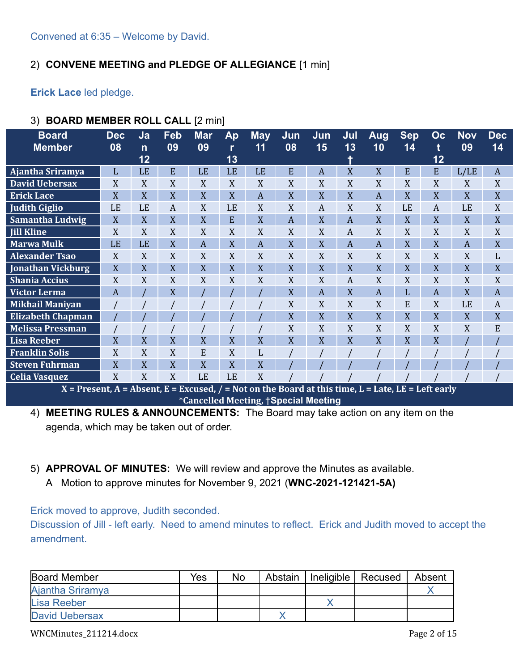# 2) **CONVENE MEETING and PLEDGE OF ALLEGIANCE** [1 min]

**Erick Lace** led pledge.

| <b>Board</b><br><b>Member</b>                                                                        | <b>Dec</b><br>08 | Ja<br>$\mathsf{n}$<br>12 | Feb<br>09        | <b>Mar</b><br>09 | Ap<br>r<br>13 | <b>May</b><br>11 | Jun<br>08        | Jun<br>15 | Jul<br>13 | Aug<br>10 | <b>Sep</b><br>14 | OC<br>t<br>12 | <b>Nov</b><br>09 | <b>Dec</b><br>14 |
|------------------------------------------------------------------------------------------------------|------------------|--------------------------|------------------|------------------|---------------|------------------|------------------|-----------|-----------|-----------|------------------|---------------|------------------|------------------|
| Ajantha Sriramya                                                                                     | L                | LE                       | E                | LE               | LE            | LE               | E                | A         | X         | X         | E                | E             | L/LE             | A                |
| <b>David Uebersax</b>                                                                                | X                | X                        | X                | X                | X             | X                | X                | X         | X         | X         | X                | X             | X                | X                |
| <b>Erick Lace</b>                                                                                    | X                | X                        | X                | X                | X             | A                | X                | X         | X         | A         | X                | X             | X                | X                |
| <b>Judith Giglio</b>                                                                                 | LE               | LE                       | $\boldsymbol{A}$ | X                | LE            | X                | X                | A         | X         | X         | LE               | A             | LE               | X                |
| <b>Samantha Ludwig</b>                                                                               | $\mathbf X$      | X                        | X                | X                | E             | X                | $\boldsymbol{A}$ | X         | A         | X         | X                | X             | X                | X                |
| <b>Jill Kline</b>                                                                                    | X                | X                        | X                | X                | X             | X                | X                | X         | A         | X         | X                | X             | X                | X                |
| <b>Marwa Mulk</b>                                                                                    | LE               | LE                       | X                | A                | X             | A                | X                | X         | A         | A         | X                | X             | A                | X                |
| <b>Alexander Tsao</b>                                                                                | X                | X                        | X                | X                | X             | X                | X                | X         | X         | X         | X                | X             | X                | L                |
| <b>Jonathan Vickburg</b>                                                                             | X                | X                        | X                | X                | X             | X                | X                | X         | X         | X         | X                | X             | X                | X                |
| <b>Shania Accius</b>                                                                                 | X                | X                        | X                | X                | X             | X                | X                | X         | A         | X         | X                | X             | X                | X                |
| Victor Lerma                                                                                         | A                |                          | X                |                  |               |                  | X                | A         | X         | A         | L                | A             | X                | A                |
| <b>Mikhail Maniyan</b>                                                                               |                  |                          |                  |                  |               |                  | X                | X         | X         | X         | E                | X             | LE               | A                |
| <b>Elizabeth Chapman</b>                                                                             |                  |                          |                  |                  |               |                  | X                | X         | X         | X         | X                | X             | X                | X                |
| <b>Melissa Pressman</b>                                                                              |                  |                          |                  |                  |               |                  | X                | X         | X         | X         | X                | X             | X                | E                |
| <b>Lisa Reeber</b>                                                                                   | X                | X                        | X                | X                | X             | X                | X                | X         | X         | X         | X                | X             |                  |                  |
| <b>Franklin Solis</b>                                                                                | X                | X                        | X                | E                | X             | L                |                  |           |           |           |                  |               |                  |                  |
| <b>Steven Fuhrman</b>                                                                                | X                | X                        | X                | X                | X             | X                |                  |           |           |           |                  |               |                  |                  |
| <b>Celia Vasquez</b>                                                                                 | X                | X                        | X                | LE               | LE            | X                |                  |           |           |           |                  |               |                  |                  |
| $X =$ Present, A = Absent, E = Excused, / = Not on the Board at this time, L = Late, LE = Left early |                  |                          |                  |                  |               |                  |                  |           |           |           |                  |               |                  |                  |

# 3) **BOARD MEMBER ROLL CALL** [2 min]

\***Cancelled Meeting,** †**Special Meeting** 4) **MEETING RULES & ANNOUNCEMENTS:** The Board may take action on any item on the

agenda, which may be taken out of order.

# 5) **APPROVAL OF MINUTES:** We will review and approve the Minutes as available.

A Motion to approve minutes for November 9, 2021 (**WNC-2021-121421-5A)**

Erick moved to approve, Judith seconded.

Discussion of Jill - left early. Need to amend minutes to reflect. Erick and Judith moved to accept the amendment.

| <b>Board Member</b>   | Yes | No | Abstain | Ineligible   Recused | Absent |
|-----------------------|-----|----|---------|----------------------|--------|
| Ajantha Sriramya      |     |    |         |                      |        |
| Lisa Reeber           |     |    |         |                      |        |
| <b>David Uebersax</b> |     |    |         |                      |        |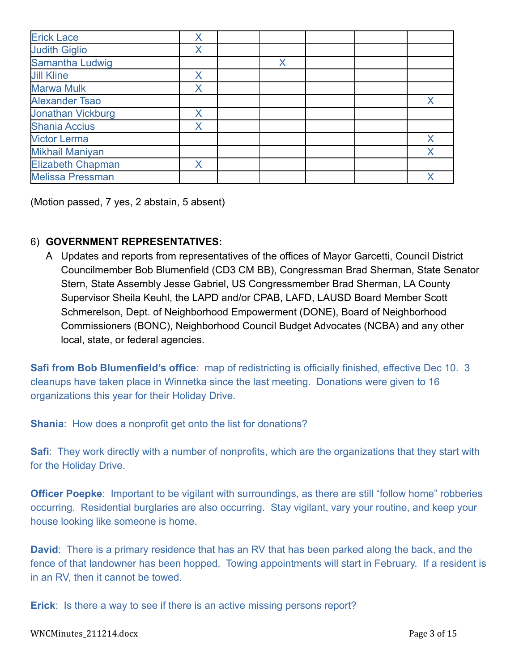| <b>Erick Lace</b>        | Χ |   |  |          |
|--------------------------|---|---|--|----------|
| <b>Judith Giglio</b>     | Х |   |  |          |
| Samantha Ludwig          |   | Χ |  |          |
| <b>Jill Kline</b>        | Χ |   |  |          |
| <b>Marwa Mulk</b>        | X |   |  |          |
| <b>Alexander Tsao</b>    |   |   |  | $\times$ |
| <b>Jonathan Vickburg</b> | X |   |  |          |
| <b>Shania Accius</b>     | Χ |   |  |          |
| <b>Victor Lerma</b>      |   |   |  | $\times$ |
| <b>Mikhail Maniyan</b>   |   |   |  | Χ        |
| <b>Elizabeth Chapman</b> | Χ |   |  |          |
| <b>Melissa Pressman</b>  |   |   |  |          |

(Motion passed, 7 yes, 2 abstain, 5 absent)

# 6) **GOVERNMENT REPRESENTATIVES:**

A Updates and reports from representatives of the offices of Mayor Garcetti, Council District Councilmember Bob Blumenfield (CD3 CM BB), Congressman Brad Sherman, State Senator Stern, State Assembly Jesse Gabriel, US Congressmember Brad Sherman, LA County Supervisor Sheila Keuhl, the LAPD and/or CPAB, LAFD, LAUSD Board Member Scott Schmerelson, Dept. of Neighborhood Empowerment (DONE), Board of Neighborhood Commissioners (BONC), Neighborhood Council Budget Advocates (NCBA) and any other local, state, or federal agencies.

**Safi from Bob Blumenfield's office:** map of redistricting is officially finished, effective Dec 10. 3 cleanups have taken place in Winnetka since the last meeting. Donations were given to 16 organizations this year for their Holiday Drive.

**Shania**: How does a nonprofit get onto the list for donations?

**Safi**: They work directly with a number of nonprofits, which are the organizations that they start with for the Holiday Drive.

**Officer Poepke:** Important to be vigilant with surroundings, as there are still "follow home" robberies occurring. Residential burglaries are also occurring. Stay vigilant, vary your routine, and keep your house looking like someone is home.

**David**: There is a primary residence that has an RV that has been parked along the back, and the fence of that landowner has been hopped. Towing appointments will start in February. If a resident is in an RV, then it cannot be towed.

**Erick**: Is there a way to see if there is an active missing persons report?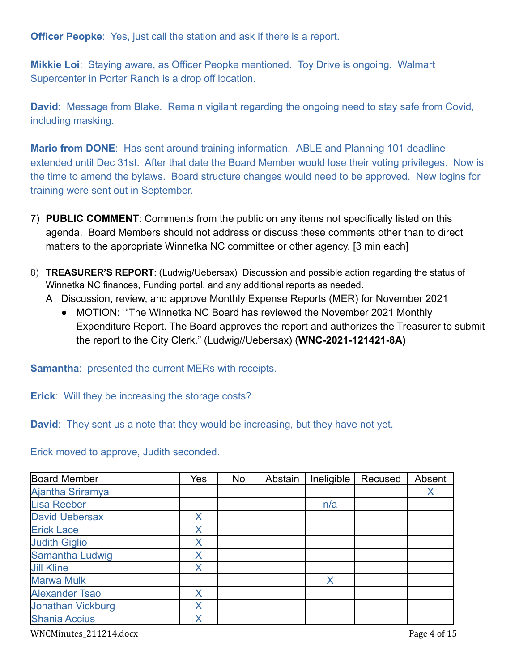**Officer Peopke:** Yes, just call the station and ask if there is a report.

**Mikkie Loi**: Staying aware, as Officer Peopke mentioned. Toy Drive is ongoing. Walmart Supercenter in Porter Ranch is a drop off location.

**David**: Message from Blake. Remain vigilant regarding the ongoing need to stay safe from Covid, including masking.

**Mario from DONE:** Has sent around training information. ABLE and Planning 101 deadline extended until Dec 31st. After that date the Board Member would lose their voting privileges. Now is the time to amend the bylaws. Board structure changes would need to be approved. New logins for training were sent out in September.

- 7) **PUBLIC COMMENT**: Comments from the public on any items not specifically listed on this agenda. Board Members should not address or discuss these comments other than to direct matters to the appropriate Winnetka NC committee or other agency. [3 min each]
- 8) **TREASURER'S REPORT**: (Ludwig/Uebersax) Discussion and possible action regarding the status of Winnetka NC finances, Funding portal, and any additional reports as needed.
	- A Discussion, review, and approve Monthly Expense Reports (MER) for November 2021
		- MOTION: "The Winnetka NC Board has reviewed the November 2021 Monthly Expenditure Report. The Board approves the report and authorizes the Treasurer to submit the report to the City Clerk." (Ludwig//Uebersax) (**WNC-2021-121421-8A)**

**Samantha**: presented the current MERs with receipts.

**Erick**: Will they be increasing the storage costs?

**David**: They sent us a note that they would be increasing, but they have not yet.

Erick moved to approve, Judith seconded.

| <b>Board Member</b>      | Yes | <b>No</b> | Abstain | Ineligible | Recused | Absent |
|--------------------------|-----|-----------|---------|------------|---------|--------|
| <b>Ajantha Sriramya</b>  |     |           |         |            |         | Χ      |
| <b>Lisa Reeber</b>       |     |           |         | n/a        |         |        |
| <b>David Uebersax</b>    | X   |           |         |            |         |        |
| <b>Erick Lace</b>        | Χ   |           |         |            |         |        |
| <b>Judith Giglio</b>     | Χ   |           |         |            |         |        |
| Samantha Ludwig          | Χ   |           |         |            |         |        |
| <b>Jill Kline</b>        | X   |           |         |            |         |        |
| <b>Marwa Mulk</b>        |     |           |         | X          |         |        |
| <b>Alexander Tsao</b>    | Χ   |           |         |            |         |        |
| <b>Jonathan Vickburg</b> | Χ   |           |         |            |         |        |
| <b>Shania Accius</b>     | Χ   |           |         |            |         |        |

WNCMinutes\_211214.docx Page 4 of 15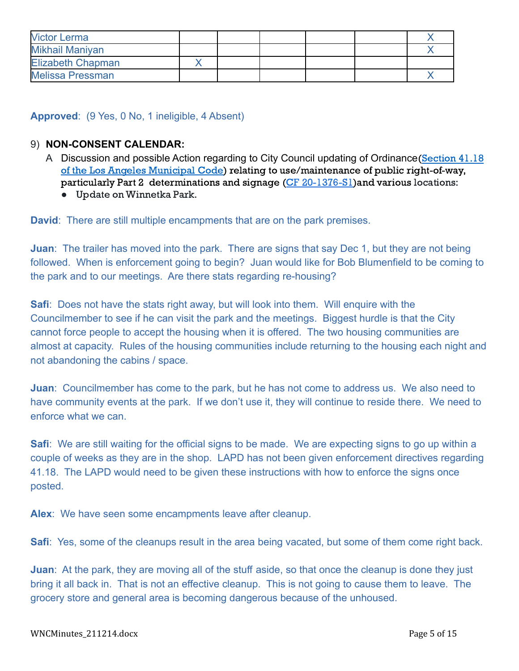| <b>Victor Lerma</b>      |  |  |  |
|--------------------------|--|--|--|
| Mikhail Maniyan          |  |  |  |
| <b>Elizabeth Chapman</b> |  |  |  |
| <b>Melissa Pressman</b>  |  |  |  |

# **Approved**: (9 Yes, 0 No, 1 ineligible, 4 Absent)

# 9) **NON-CONSENT CALENDAR:**

- A Discussion and possible Action regarding to City Council updating of Ordinance [\(Section](https://clkrep.lacity.org/onlinedocs/2020/20-1376-S1_ord_187127_09-03-21.pdf) 41.18) of the Los Angeles [Municipal](https://clkrep.lacity.org/onlinedocs/2020/20-1376-S1_ord_187127_09-03-21.pdf) Code) relating to use/maintenance of public right-of-way, particularly Part 2 determinations and signage (CF [20-1376-S1\)](https://cityclerk.lacity.org/lacityclerkconnect/index.cfm?fa=ccfi.viewrecord&cfnumber=20-1376-S1)and various locations:
	- Update on Winnetka Park.

**David**: There are still multiple encampments that are on the park premises.

**Juan**: The trailer has moved into the park. There are signs that say Dec 1, but they are not being followed. When is enforcement going to begin? Juan would like for Bob Blumenfield to be coming to the park and to our meetings. Are there stats regarding re-housing?

**Safi**: Does not have the stats right away, but will look into them. Will enquire with the Councilmember to see if he can visit the park and the meetings. Biggest hurdle is that the City cannot force people to accept the housing when it is offered. The two housing communities are almost at capacity. Rules of the housing communities include returning to the housing each night and not abandoning the cabins / space.

**Juan**: Councilmember has come to the park, but he has not come to address us. We also need to have community events at the park. If we don't use it, they will continue to reside there. We need to enforce what we can.

**Safi**: We are still waiting for the official signs to be made. We are expecting signs to go up within a couple of weeks as they are in the shop. LAPD has not been given enforcement directives regarding 41.18. The LAPD would need to be given these instructions with how to enforce the signs once posted.

**Alex**: We have seen some encampments leave after cleanup.

**Safi**: Yes, some of the cleanups result in the area being vacated, but some of them come right back.

**Juan**: At the park, they are moving all of the stuff aside, so that once the cleanup is done they just bring it all back in. That is not an effective cleanup. This is not going to cause them to leave. The grocery store and general area is becoming dangerous because of the unhoused.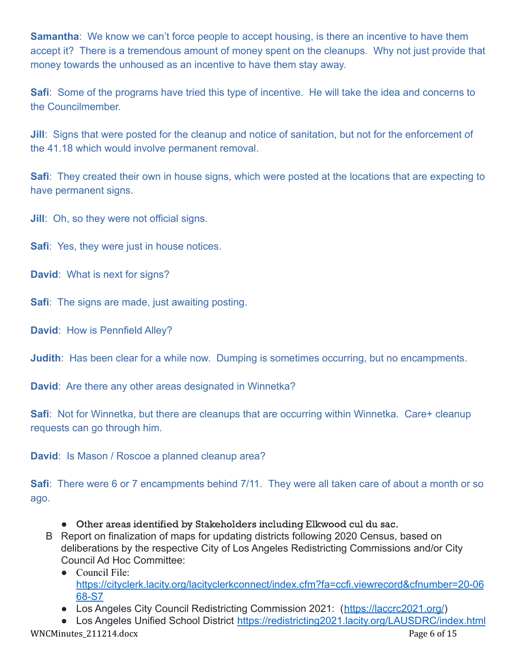**Samantha**: We know we can't force people to accept housing, is there an incentive to have them accept it? There is a tremendous amount of money spent on the cleanups. Why not just provide that money towards the unhoused as an incentive to have them stay away.

**Safi**: Some of the programs have tried this type of incentive. He will take the idea and concerns to the Councilmember.

**Jill:** Signs that were posted for the cleanup and notice of sanitation, but not for the enforcement of the 41.18 which would involve permanent removal.

**Safi**: They created their own in house signs, which were posted at the locations that are expecting to have permanent signs.

**Jill**: Oh, so they were not official signs.

**Safi**: Yes, they were just in house notices.

**David**: What is next for signs?

**Safi:** The signs are made, just awaiting posting.

**David**: How is Pennfield Alley?

**Judith:** Has been clear for a while now. Dumping is sometimes occurring, but no encampments.

**David**: Are there any other areas designated in Winnetka?

**Safi**: Not for Winnetka, but there are cleanups that are occurring within Winnetka. Care+ cleanup requests can go through him.

**David**: Is Mason / Roscoe a planned cleanup area?

**Safi**: There were 6 or 7 encampments behind 7/11. They were all taken care of about a month or so ago.

- Other areas identified by Stakeholders including Elkwood cul du sac.
- B Report on finalization of maps for updating districts following 2020 Census, based on deliberations by the respective City of Los Angeles Redistricting Commissions and/or City Council Ad Hoc Committee:
	- Council File: [https://cityclerk.lacity.org/lacityclerkconnect/index.cfm?fa=ccfi.viewrecord&cfnumber=20-06](https://cityclerk.lacity.org/lacityclerkconnect/index.cfm?fa=ccfi.viewrecord&cfnumber=20-0668-S7) [68-S7](https://cityclerk.lacity.org/lacityclerkconnect/index.cfm?fa=ccfi.viewrecord&cfnumber=20-0668-S7)
	- Los Angeles City Council Redistricting Commission 2021: (<https://laccrc2021.org/>)
- Los Angeles Unified School District <https://redistricting2021.lacity.org/LAUSDRC/index.html> WNCMinutes\_211214.docx Page 6 of 15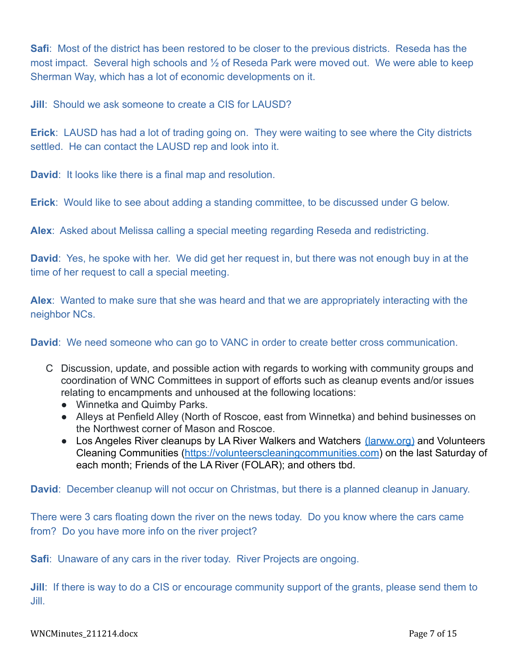**Safi**: Most of the district has been restored to be closer to the previous districts. Reseda has the most impact. Several high schools and ½ of Reseda Park were moved out. We were able to keep Sherman Way, which has a lot of economic developments on it.

**Jill**: Should we ask someone to create a CIS for LAUSD?

**Erick**: LAUSD has had a lot of trading going on. They were waiting to see where the City districts settled. He can contact the LAUSD rep and look into it.

**David**: It looks like there is a final map and resolution.

**Erick**: Would like to see about adding a standing committee, to be discussed under G below.

**Alex**: Asked about Melissa calling a special meeting regarding Reseda and redistricting.

**David**: Yes, he spoke with her. We did get her request in, but there was not enough buy in at the time of her request to call a special meeting.

**Alex**: Wanted to make sure that she was heard and that we are appropriately interacting with the neighbor NCs.

**David**: We need someone who can go to VANC in order to create better cross communication.

- C Discussion, update, and possible action with regards to working with community groups and coordination of WNC Committees in support of efforts such as cleanup events and/or issues relating to encampments and unhoused at the following locations:
	- Winnetka and Quimby Parks.
	- Alleys at Penfield Alley (North of Roscoe, east from Winnetka) and behind businesses on the Northwest corner of Mason and Roscoe.
	- Los Angeles River cleanups by LA River Walkers and Watchers [\(larww.org\)](http://larww.org/) and Volunteers Cleaning Communities (<https://volunteerscleaningcommunities.com>) on the last Saturday of each month; Friends of the LA River (FOLAR); and others tbd.

**David**: December cleanup will not occur on Christmas, but there is a planned cleanup in January.

There were 3 cars floating down the river on the news today. Do you know where the cars came from? Do you have more info on the river project?

**Safi**: Unaware of any cars in the river today. River Projects are ongoing.

**Jill:** If there is way to do a CIS or encourage community support of the grants, please send them to Jill.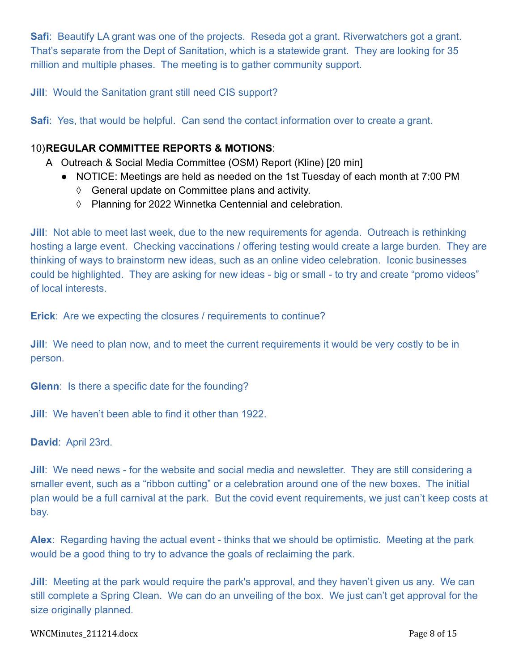**Safi**: Beautify LA grant was one of the projects. Reseda got a grant. Riverwatchers got a grant. That's separate from the Dept of Sanitation, which is a statewide grant. They are looking for 35 million and multiple phases. The meeting is to gather community support.

**Jill**: Would the Sanitation grant still need CIS support?

**Safi**: Yes, that would be helpful. Can send the contact information over to create a grant.

# 10)**REGULAR COMMITTEE REPORTS & MOTIONS**:

- A Outreach & Social Media Committee (OSM) Report (Kline) [20 min]
	- NOTICE: Meetings are held as needed on the 1st Tuesday of each month at 7:00 PM
		- ◊ General update on Committee plans and activity.
		- ◊ Planning for 2022 Winnetka Centennial and celebration.

**Jill**: Not able to meet last week, due to the new requirements for agenda. Outreach is rethinking hosting a large event. Checking vaccinations / offering testing would create a large burden. They are thinking of ways to brainstorm new ideas, such as an online video celebration. Iconic businesses could be highlighted. They are asking for new ideas - big or small - to try and create "promo videos" of local interests.

**Erick**: Are we expecting the closures / requirements to continue?

**Jill**: We need to plan now, and to meet the current requirements it would be very costly to be in person.

**Glenn**: Is there a specific date for the founding?

**Jill**: We haven't been able to find it other than 1922.

**David**: April 23rd.

**Jill**: We need news - for the website and social media and newsletter. They are still considering a smaller event, such as a "ribbon cutting" or a celebration around one of the new boxes. The initial plan would be a full carnival at the park. But the covid event requirements, we just can't keep costs at bay.

**Alex**: Regarding having the actual event - thinks that we should be optimistic. Meeting at the park would be a good thing to try to advance the goals of reclaiming the park.

**Jill**: Meeting at the park would require the park's approval, and they haven't given us any. We can still complete a Spring Clean. We can do an unveiling of the box. We just can't get approval for the size originally planned.

### WNCMinutes\_211214.docx Page 8 of 15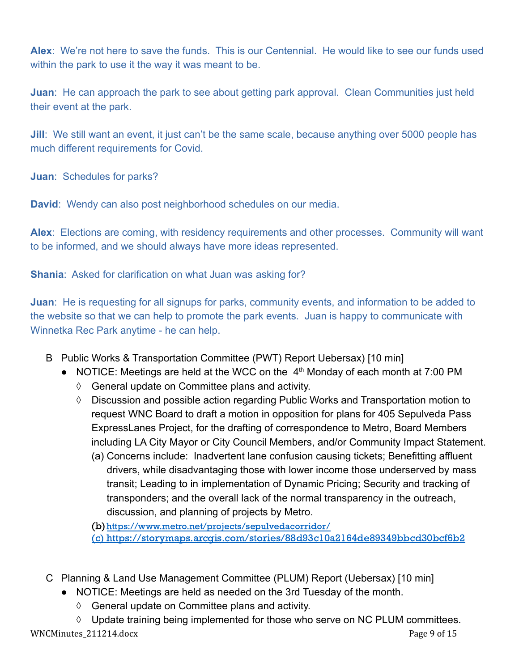**Alex**: We're not here to save the funds. This is our Centennial. He would like to see our funds used within the park to use it the way it was meant to be.

**Juan**: He can approach the park to see about getting park approval. Clean Communities just held their event at the park.

**Jill**: We still want an event, it just can't be the same scale, because anything over 5000 people has much different requirements for Covid.

**Juan**: Schedules for parks?

**David**: Wendy can also post neighborhood schedules on our media.

**Alex**: Elections are coming, with residency requirements and other processes. Community will want to be informed, and we should always have more ideas represented.

**Shania**: Asked for clarification on what Juan was asking for?

**Juan**: He is requesting for all signups for parks, community events, and information to be added to the website so that we can help to promote the park events. Juan is happy to communicate with Winnetka Rec Park anytime - he can help.

- B Public Works & Transportation Committee (PWT) Report Uebersax) [10 min]
	- NOTICE: Meetings are held at the WCC on the  $4<sup>th</sup>$  Monday of each month at 7:00 PM
		- ◊ General update on Committee plans and activity.
		- ◊ Discussion and possible action regarding Public Works and Transportation motion to request WNC Board to draft a motion in opposition for plans for 405 Sepulveda Pass ExpressLanes Project, for the drafting of correspondence to Metro, Board Members including LA City Mayor or City Council Members, and/or Community Impact Statement.
			- (a) Concerns include: Inadvertent lane confusion causing tickets; Benefitting affluent drivers, while disadvantaging those with lower income those underserved by mass transit; Leading to in implementation of Dynamic Pricing; Security and tracking of transponders; and the overall lack of the normal transparency in the outreach, discussion, and planning of projects by Metro.

(b)<https://www.metro.net/projects/sepulvedacorridor/> (c) <https://storymaps.arcgis.com/stories/88d93c10a2164de89349bbcd30bcf6b2>

- C Planning & Land Use Management Committee (PLUM) Report (Uebersax) [10 min]
	- NOTICE: Meetings are held as needed on the 3rd Tuesday of the month.
		- ◊ General update on Committee plans and activity.

◊ Update training being implemented for those who serve on NC PLUM committees. WNCMinutes 211214.docx Page 9 of 15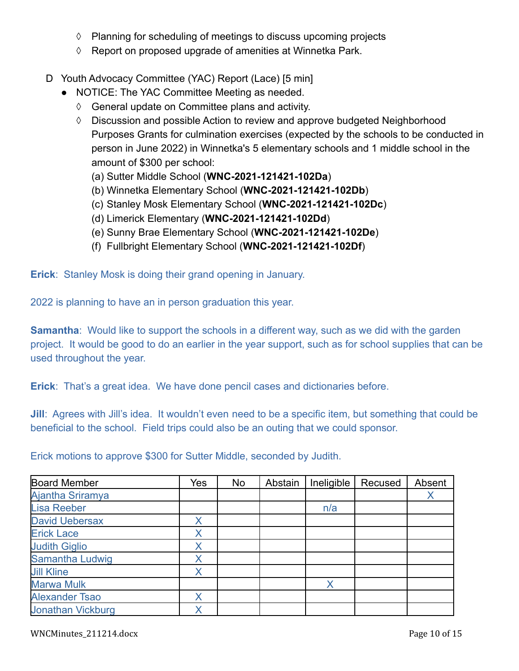- ◊ Planning for scheduling of meetings to discuss upcoming projects
- ◊ Report on proposed upgrade of amenities at Winnetka Park.
- D Youth Advocacy Committee (YAC) Report (Lace) [5 min]
	- NOTICE: The YAC Committee Meeting as needed.
		- ◊ General update on Committee plans and activity.
		- $\Diamond$  Discussion and possible Action to review and approve budgeted Neighborhood Purposes Grants for culmination exercises (expected by the schools to be conducted in person in June 2022) in Winnetka's 5 elementary schools and 1 middle school in the amount of \$300 per school:
			- (a) Sutter Middle School (**WNC-2021-121421-102Da**)
			- (b) Winnetka Elementary School (**WNC-2021-121421-102Db**)
			- (c) Stanley Mosk Elementary School (**WNC-2021-121421-102Dc**)
			- (d) Limerick Elementary (**WNC-2021-121421-102Dd**)
			- (e) Sunny Brae Elementary School (**WNC-2021-121421-102De**)
			- (f) Fullbright Elementary School (**WNC-2021-121421-102Df**)

**Erick**: Stanley Mosk is doing their grand opening in January.

2022 is planning to have an in person graduation this year.

**Samantha:** Would like to support the schools in a different way, such as we did with the garden project. It would be good to do an earlier in the year support, such as for school supplies that can be used throughout the year.

**Erick**: That's a great idea. We have done pencil cases and dictionaries before.

**Jill**: Agrees with Jill's idea. It wouldn't even need to be a specific item, but something that could be beneficial to the school. Field trips could also be an outing that we could sponsor.

Erick motions to approve \$300 for Sutter Middle, seconded by Judith.

| Board Member             | Yes | <b>No</b> | Abstain | Ineligible | Recused | Absent |
|--------------------------|-----|-----------|---------|------------|---------|--------|
| <b>Ajantha Sriramya</b>  |     |           |         |            |         |        |
| <b>Lisa Reeber</b>       |     |           |         | n/a        |         |        |
| <b>David Uebersax</b>    |     |           |         |            |         |        |
| <b>Erick Lace</b>        | Χ   |           |         |            |         |        |
| <b>Judith Giglio</b>     | Χ   |           |         |            |         |        |
| <b>Samantha Ludwig</b>   |     |           |         |            |         |        |
| <b>Jill Kline</b>        | Χ   |           |         |            |         |        |
| <b>Marwa Mulk</b>        |     |           |         |            |         |        |
| <b>Alexander Tsao</b>    | Χ   |           |         |            |         |        |
| <b>Jonathan Vickburg</b> |     |           |         |            |         |        |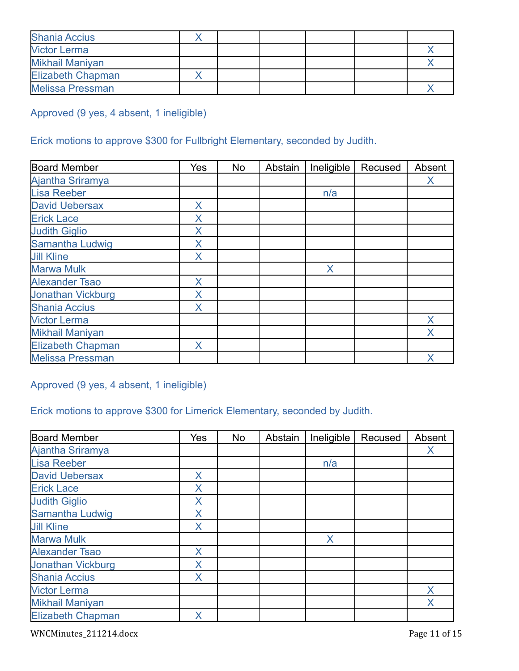| <b>Shania Accius</b>     |  |  |  |
|--------------------------|--|--|--|
| <b>Victor Lerma</b>      |  |  |  |
| <b>Mikhail Maniyan</b>   |  |  |  |
| <b>Elizabeth Chapman</b> |  |  |  |
| <b>Melissa Pressman</b>  |  |  |  |

Approved (9 yes, 4 absent, 1 ineligible)

# Erick motions to approve \$300 for Fullbright Elementary, seconded by Judith.

| <b>Board Member</b>      | Yes | No | Abstain | Ineligible | Recused | Absent |
|--------------------------|-----|----|---------|------------|---------|--------|
| Ajantha Sriramya         |     |    |         |            |         | X      |
| <b>Lisa Reeber</b>       |     |    |         | n/a        |         |        |
| <b>David Uebersax</b>    | Χ   |    |         |            |         |        |
| <b>Erick Lace</b>        | Χ   |    |         |            |         |        |
| <b>Judith Giglio</b>     | Χ   |    |         |            |         |        |
| Samantha Ludwig          | Χ   |    |         |            |         |        |
| <b>Jill Kline</b>        | X   |    |         |            |         |        |
| <b>Marwa Mulk</b>        |     |    |         | X          |         |        |
| <b>Alexander Tsao</b>    | X   |    |         |            |         |        |
| <b>Jonathan Vickburg</b> | Χ   |    |         |            |         |        |
| <b>Shania Accius</b>     | X   |    |         |            |         |        |
| <b>Victor Lerma</b>      |     |    |         |            |         | X      |
| <b>Mikhail Maniyan</b>   |     |    |         |            |         | X      |
| <b>Elizabeth Chapman</b> | X   |    |         |            |         |        |
| <b>Melissa Pressman</b>  |     |    |         |            |         | Χ      |

Approved (9 yes, 4 absent, 1 ineligible)

# Erick motions to approve \$300 for Limerick Elementary, seconded by Judith.

| <b>Board Member</b>      | Yes | No | Abstain | Ineligible | Recused | Absent |
|--------------------------|-----|----|---------|------------|---------|--------|
| Ajantha Sriramya         |     |    |         |            |         | X      |
| <b>Lisa Reeber</b>       |     |    |         | n/a        |         |        |
| <b>David Uebersax</b>    | X   |    |         |            |         |        |
| <b>Erick Lace</b>        | Χ   |    |         |            |         |        |
| <b>Judith Giglio</b>     | Χ   |    |         |            |         |        |
| Samantha Ludwig          | X   |    |         |            |         |        |
| <b>Jill Kline</b>        | X   |    |         |            |         |        |
| <b>Marwa Mulk</b>        |     |    |         | X          |         |        |
| <b>Alexander Tsao</b>    | X   |    |         |            |         |        |
| <b>Jonathan Vickburg</b> | X   |    |         |            |         |        |
| <b>Shania Accius</b>     | X   |    |         |            |         |        |
| <b>Victor Lerma</b>      |     |    |         |            |         | X      |
| <b>Mikhail Maniyan</b>   |     |    |         |            |         | X      |
| <b>Elizabeth Chapman</b> | X   |    |         |            |         |        |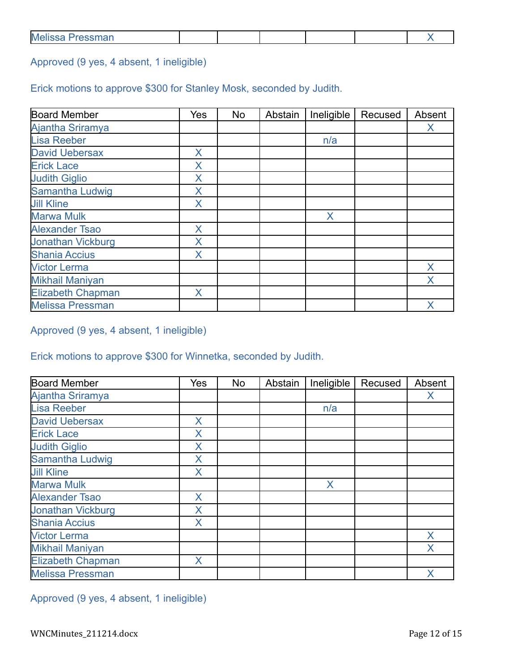| <b>Melissa</b><br>$P$ connon<br><b>699111</b> 12 |  |  |  |  |  |  |
|--------------------------------------------------|--|--|--|--|--|--|
|--------------------------------------------------|--|--|--|--|--|--|

Approved (9 yes, 4 absent, 1 ineligible)

Erick motions to approve \$300 for Stanley Mosk, seconded by Judith.

| <b>Board Member</b>      | Yes | No | Abstain | Ineligible | Recused | Absent |
|--------------------------|-----|----|---------|------------|---------|--------|
| Ajantha Sriramya         |     |    |         |            |         | X      |
| <b>Lisa Reeber</b>       |     |    |         | n/a        |         |        |
| <b>David Uebersax</b>    | X   |    |         |            |         |        |
| <b>Erick Lace</b>        | Χ   |    |         |            |         |        |
| <b>Judith Giglio</b>     | X   |    |         |            |         |        |
| Samantha Ludwig          | X   |    |         |            |         |        |
| <b>Jill Kline</b>        | X   |    |         |            |         |        |
| <b>Marwa Mulk</b>        |     |    |         | X          |         |        |
| <b>Alexander Tsao</b>    | X   |    |         |            |         |        |
| <b>Jonathan Vickburg</b> | X   |    |         |            |         |        |
| <b>Shania Accius</b>     | X   |    |         |            |         |        |
| <b>Victor Lerma</b>      |     |    |         |            |         | X      |
| <b>Mikhail Maniyan</b>   |     |    |         |            |         | X      |
| <b>Elizabeth Chapman</b> | X   |    |         |            |         |        |
| <b>Melissa Pressman</b>  |     |    |         |            |         | Χ      |

Approved (9 yes, 4 absent, 1 ineligible)

Erick motions to approve \$300 for Winnetka, seconded by Judith.

| <b>Board Member</b>      | Yes | <b>No</b> | Abstain | Ineligible | Recused | Absent |
|--------------------------|-----|-----------|---------|------------|---------|--------|
| Ajantha Sriramya         |     |           |         |            |         | X      |
| <b>Lisa Reeber</b>       |     |           |         | n/a        |         |        |
| <b>David Uebersax</b>    | X.  |           |         |            |         |        |
| <b>Erick Lace</b>        | X   |           |         |            |         |        |
| <b>Judith Giglio</b>     | X   |           |         |            |         |        |
| <b>Samantha Ludwig</b>   | X   |           |         |            |         |        |
| <b>Jill Kline</b>        | X   |           |         |            |         |        |
| <b>Marwa Mulk</b>        |     |           |         | X          |         |        |
| <b>Alexander Tsao</b>    | X   |           |         |            |         |        |
| <b>Jonathan Vickburg</b> | X   |           |         |            |         |        |
| <b>Shania Accius</b>     | X   |           |         |            |         |        |
| <b>Victor Lerma</b>      |     |           |         |            |         | X      |
| <b>Mikhail Maniyan</b>   |     |           |         |            |         | X      |
| <b>Elizabeth Chapman</b> | X   |           |         |            |         |        |
| <b>Melissa Pressman</b>  |     |           |         |            |         | Χ      |

Approved (9 yes, 4 absent, 1 ineligible)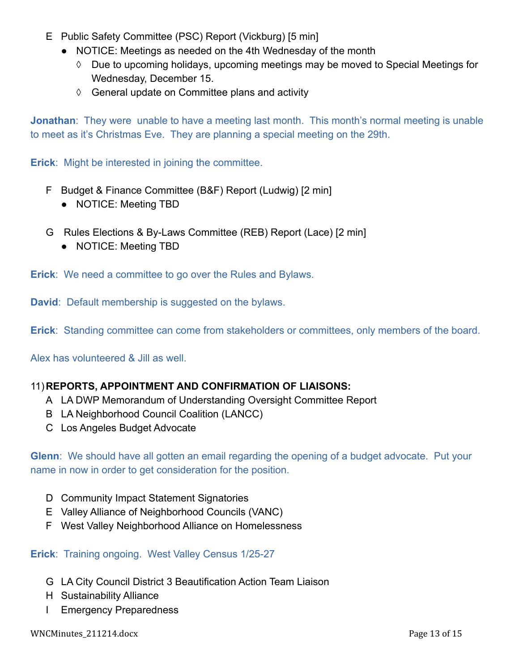- E Public Safety Committee (PSC) Report (Vickburg) [5 min]
	- NOTICE: Meetings as needed on the 4th Wednesday of the month
		- ◊ Due to upcoming holidays, upcoming meetings may be moved to Special Meetings for Wednesday, December 15.
		- ◊ General update on Committee plans and activity

**Jonathan**: They were unable to have a meeting last month. This month's normal meeting is unable to meet as it's Christmas Eve. They are planning a special meeting on the 29th.

**Erick**: Might be interested in joining the committee.

- F Budget & Finance Committee (B&F) Report (Ludwig) [2 min]
	- NOTICE: Meeting TBD
- G Rules Elections & By-Laws Committee (REB) Report (Lace) [2 min]
	- **●** NOTICE: Meeting TBD

**Erick**: We need a committee to go over the Rules and Bylaws.

**David**: Default membership is suggested on the bylaws.

**Erick**: Standing committee can come from stakeholders or committees, only members of the board.

Alex has volunteered & Jill as well.

# 11)**REPORTS, APPOINTMENT AND CONFIRMATION OF LIAISONS:**

- A LA DWP Memorandum of Understanding Oversight Committee Report
- B LA Neighborhood Council Coalition (LANCC)
- C Los Angeles Budget Advocate

**Glenn**: We should have all gotten an email regarding the opening of a budget advocate. Put your name in now in order to get consideration for the position.

- D Community Impact Statement Signatories
- E Valley Alliance of Neighborhood Councils (VANC)
- F West Valley Neighborhood Alliance on Homelessness

# **Erick**: Training ongoing. West Valley Census 1/25-27

- G LA City Council District 3 Beautification Action Team Liaison
- H Sustainability Alliance
- I Emergency Preparedness

WNCMinutes\_211214.docx Page 13 of 15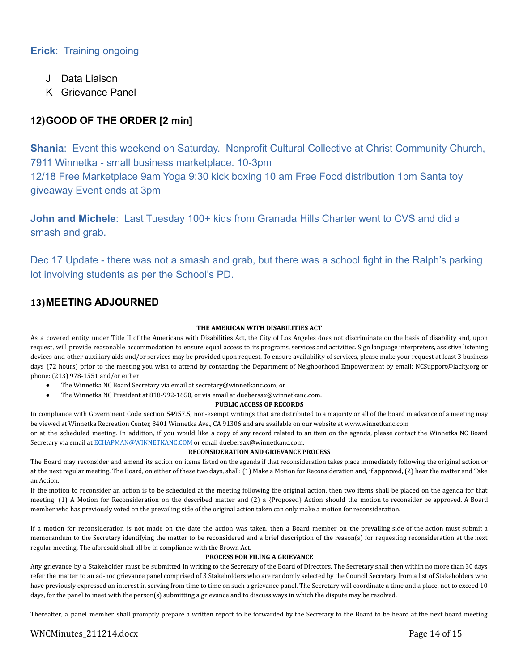# **Erick**: Training ongoing

- J Data Liaison
- K Grievance Panel

# **12)GOOD OF THE ORDER [2 min]**

**Shania**: Event this weekend on Saturday. Nonprofit Cultural Collective at Christ Community Church, 7911 Winnetka - small business marketplace. 10-3pm

12/18 Free Marketplace 9am Yoga 9:30 kick boxing 10 am Free Food distribution 1pm Santa toy giveaway Event ends at 3pm

**John and Michele**: Last Tuesday 100+ kids from Granada Hills Charter went to CVS and did a smash and grab.

Dec 17 Update - there was not a smash and grab, but there was a school fight in the Ralph's parking lot involving students as per the School's PD.

### **13)MEETING ADJOURNED**

### **THE AMERICAN WITH DISABILITIES ACT**

As a covered entity under Title II of the Americans with Disabilities Act, the City of Los Angeles does not discriminate on the basis of disability and, upon request, will provide reasonable accommodation to ensure equal access to its programs, services and activities. Sign language interpreters, assistive listening devices and other auxiliary aids and/or services may be provided upon request. To ensure availability of services, please make your request at least 3 business days (72 hours) prior to the meeting you wish to attend by contacting the Department of Neighborhood Empowerment by email: NCSupport@lacity.org or phone: (213) 978-1551 and/or either:

- The Winnetka NC Board Secretary via email at secretary@winnetkanc.com, or
- The Winnetka NC President at 818-992-1650, or via email at duebersax@winnetkanc.com.

### **PUBLIC ACCESS OF RECORDS**

In compliance with Government Code section 54957.5, non-exempt writings that are distributed to a majority or all of the board in advance of a meeting may be viewed at Winnetka Recreation Center, 8401 Winnetka Ave., CA 91306 and are available on our website at www.winnetkanc.com

or at the scheduled meeting. In addition, if you would like a copy of any record related to an item on the agenda, please contact the Winnetka NC Board Secretary via email at [ECHAPMAN@WINNETKANC.COM](mailto:ECHAPMAN@WINNETKANC.COM) or email duebersax@winnetkanc.com.

### **RECONSIDERATION AND GRIEVANCE PROCESS**

The Board may reconsider and amend its action on items listed on the agenda if that reconsideration takes place immediately following the original action or at the next regular meeting. The Board, on either of these two days, shall: (1) Make a Motion for Reconsideration and, if approved, (2) hear the matter and Take an Action.

If the motion to reconsider an action is to be scheduled at the meeting following the original action, then two items shall be placed on the agenda for that meeting: (1) A Motion for Reconsideration on the described matter and (2) a {Proposed} Action should the motion to reconsider be approved. A Board member who has previously voted on the prevailing side of the original action taken can only make a motion for reconsideration.

If a motion for reconsideration is not made on the date the action was taken, then a Board member on the prevailing side of the action must submit a memorandum to the Secretary identifying the matter to be reconsidered and a brief description of the reason(s) for requesting reconsideration at the next regular meeting. The aforesaid shall all be in compliance with the Brown Act.

#### **PROCESS FOR FILING A GRIEVANCE**

Any grievance by a Stakeholder must be submitted in writing to the Secretary of the Board of Directors. The Secretary shall then within no more than 30 days refer the matter to an ad-hoc grievance panel comprised of 3 Stakeholders who are randomly selected by the Council Secretary from a list of Stakeholders who have previously expressed an interest in serving from time to time on such a grievance panel. The Secretary will coordinate a time and a place, not to exceed 10 days, for the panel to meet with the person(s) submitting a grievance and to discuss ways in which the dispute may be resolved.

Thereafter, a panel member shall promptly prepare a written report to be forwarded by the Secretary to the Board to be heard at the next board meeting

### WNCMinutes\_211214.docx Page 14 of 15